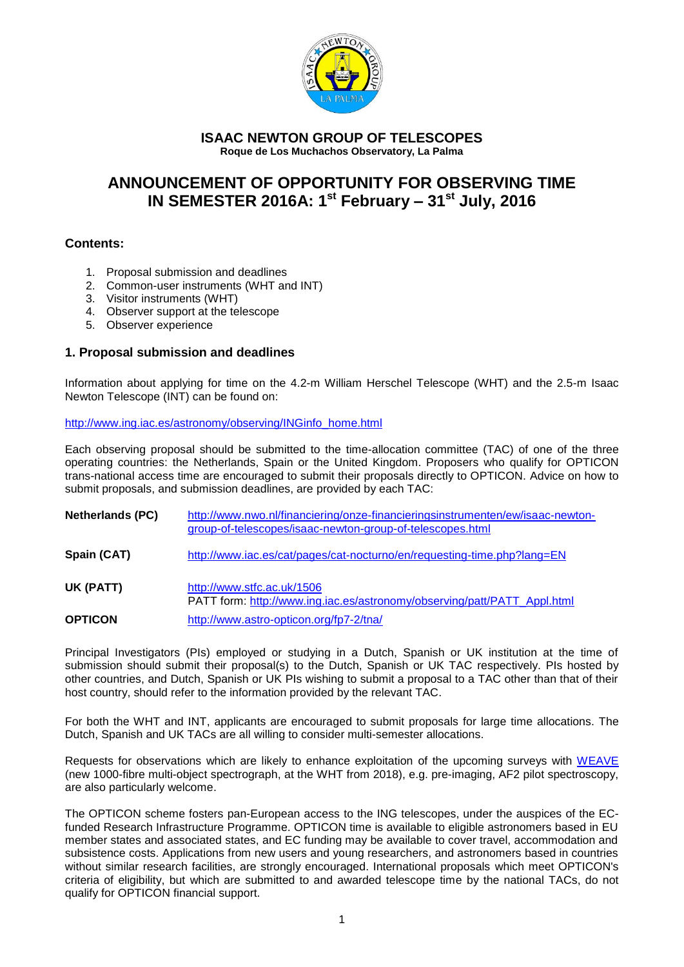

#### **ISAAC NEWTON GROUP OF TELESCOPES Roque de Los Muchachos Observatory, La Palma**

# **ANNOUNCEMENT OF OPPORTUNITY FOR OBSERVING TIME IN SEMESTER 2016A: 1 st February – 31st July, 2016**

## **Contents:**

- 1. Proposal submission and deadlines
- 2. Common-user instruments (WHT and INT)
- 3. Visitor instruments (WHT)
- 4. Observer support at the telescope
- 5. Observer experience

## **1. Proposal submission and deadlines**

Information about applying for time on the 4.2-m William Herschel Telescope (WHT) and the 2.5-m Isaac Newton Telescope (INT) can be found on:

#### [http://www.ing.iac.es/astronomy/observing/INGinfo\\_home.html](http://www.ing.iac.es/astronomy/observing/INGinfo_home.html)

Each observing proposal should be submitted to the time-allocation committee (TAC) of one of the three operating countries: the Netherlands, Spain or the United Kingdom. Proposers who qualify for OPTICON trans-national access time are encouraged to submit their proposals directly to OPTICON. Advice on how to submit proposals, and submission deadlines, are provided by each TAC:

| <b>Netherlands (PC)</b> | http://www.nwo.nl/financiering/onze-financieringsinstrumenten/ew/isaac-newton-<br>group-of-telescopes/isaac-newton-group-of-telescopes.html |
|-------------------------|---------------------------------------------------------------------------------------------------------------------------------------------|
| Spain (CAT)             | http://www.iac.es/cat/pages/cat-nocturno/en/requesting-time.php?lang=EN                                                                     |
| UK (PATT)               | http://www.stfc.ac.uk/1506<br>PATT form: http://www.ing.iac.es/astronomy/observing/patt/PATT_Appl.html                                      |
| <b>OPTICON</b>          | http://www.astro-opticon.org/fp7-2/tna/                                                                                                     |

Principal Investigators (PIs) employed or studying in a Dutch, Spanish or UK institution at the time of submission should submit their proposal(s) to the Dutch, Spanish or UK TAC respectively. PIs hosted by other countries, and Dutch, Spanish or UK PIs wishing to submit a proposal to a TAC other than that of their host country, should refer to the information provided by the relevant TAC.

For both the WHT and INT, applicants are encouraged to submit proposals for large time allocations. The Dutch, Spanish and UK TACs are all willing to consider multi-semester allocations.

Requests for observations which are likely to enhance exploitation of the upcoming surveys with [WEAVE](http://www.ing.iac.es/weave/) (new 1000-fibre multi-object spectrograph, at the WHT from 2018), e.g. pre-imaging, AF2 pilot spectroscopy, are also particularly welcome.

The OPTICON scheme fosters pan-European access to the ING telescopes, under the auspices of the ECfunded Research Infrastructure Programme. OPTICON time is available to eligible astronomers based in EU member states and associated states, and EC funding may be available to cover travel, accommodation and subsistence costs. Applications from new users and young researchers, and astronomers based in countries without similar research facilities, are strongly encouraged. International proposals which meet OPTICON's criteria of eligibility, but which are submitted to and awarded telescope time by the national TACs, do not qualify for OPTICON financial support.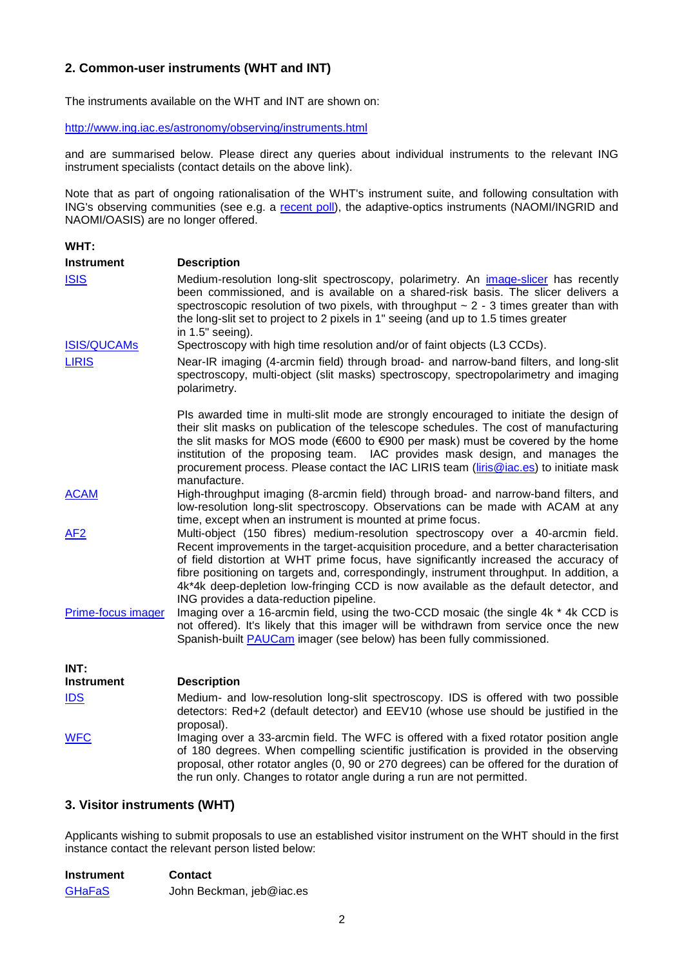# **2. Common-user instruments (WHT and INT)**

The instruments available on the WHT and INT are shown on:

<http://www.ing.iac.es/astronomy/observing/instruments.html>

and are summarised below. Please direct any queries about individual instruments to the relevant ING instrument specialists (contact details on the above link).

Note that as part of ongoing rationalisation of the WHT's instrument suite, and following consultation with ING's observing communities (see e.g. a [recent poll\)](http://www.ing.iac.es/about-ING/inginstrpoll.html), the adaptive-optics instruments (NAOMI/INGRID and NAOMI/OASIS) are no longer offered.

#### **WHT:**

| <b>Instrument</b>  | <b>Description</b>                                                                                                                                                                                                                                                                                                                                                                                                                                                                               |
|--------------------|--------------------------------------------------------------------------------------------------------------------------------------------------------------------------------------------------------------------------------------------------------------------------------------------------------------------------------------------------------------------------------------------------------------------------------------------------------------------------------------------------|
| <b>ISIS</b>        | Medium-resolution long-slit spectroscopy, polarimetry. An image-slicer has recently<br>been commissioned, and is available on a shared-risk basis. The slicer delivers a<br>spectroscopic resolution of two pixels, with throughput $\sim$ 2 - 3 times greater than with<br>the long-slit set to project to 2 pixels in 1" seeing (and up to 1.5 times greater<br>in 1.5" seeing).                                                                                                               |
| <b>ISIS/QUCAMs</b> | Spectroscopy with high time resolution and/or of faint objects (L3 CCDs).                                                                                                                                                                                                                                                                                                                                                                                                                        |
| <b>LIRIS</b>       | Near-IR imaging (4-arcmin field) through broad- and narrow-band filters, and long-slit<br>spectroscopy, multi-object (slit masks) spectroscopy, spectropolarimetry and imaging<br>polarimetry.                                                                                                                                                                                                                                                                                                   |
|                    | PIs awarded time in multi-slit mode are strongly encouraged to initiate the design of<br>their slit masks on publication of the telescope schedules. The cost of manufacturing<br>the slit masks for MOS mode (€600 to €900 per mask) must be covered by the home<br>institution of the proposing team. IAC provides mask design, and manages the<br>procurement process. Please contact the IAC LIRIS team (liris@iac.es) to initiate mask<br>manufacture.                                      |
| <b>ACAM</b>        | High-throughput imaging (8-arcmin field) through broad- and narrow-band filters, and<br>low-resolution long-slit spectroscopy. Observations can be made with ACAM at any<br>time, except when an instrument is mounted at prime focus.                                                                                                                                                                                                                                                           |
| AF <sub>2</sub>    | Multi-object (150 fibres) medium-resolution spectroscopy over a 40-arcmin field.<br>Recent improvements in the target-acquisition procedure, and a better characterisation<br>of field distortion at WHT prime focus, have significantly increased the accuracy of<br>fibre positioning on targets and, correspondingly, instrument throughput. In addition, a<br>4k*4k deep-depletion low-fringing CCD is now available as the default detector, and<br>ING provides a data-reduction pipeline. |
| Prime-focus imager | Imaging over a 16-arcmin field, using the two-CCD mosaic (the single 4k * 4k CCD is<br>not offered). It's likely that this imager will be withdrawn from service once the new<br>Spanish-built <b>PAUCam</b> imager (see below) has been fully commissioned.                                                                                                                                                                                                                                     |
| INT:               |                                                                                                                                                                                                                                                                                                                                                                                                                                                                                                  |
| Instrument         | <b>Description</b>                                                                                                                                                                                                                                                                                                                                                                                                                                                                               |
| <b>IDS</b>         | Medium- and low-resolution long-slit spectroscopy. IDS is offered with two possible<br>detectors: Red+2 (default detector) and EEV10 (whose use should be justified in the<br>proposal).                                                                                                                                                                                                                                                                                                         |
| <b>WFC</b>         | Imaging over a 33-arcmin field. The WFC is offered with a fixed rotator position angle<br>of 180 degrees. When compelling scientific justification is provided in the observing<br>proposal, other rotator angles (0, 90 or 270 degrees) can be offered for the duration of                                                                                                                                                                                                                      |

## **3. Visitor instruments (WHT)**

Applicants wishing to submit proposals to use an established visitor instrument on the WHT should in the first instance contact the relevant person listed below:

the run only. Changes to rotator angle during a run are not permitted.

| <b>Instrument</b> | <b>Contact</b>           |
|-------------------|--------------------------|
| <b>GHaFaS</b>     | John Beckman, jeb@iac.es |